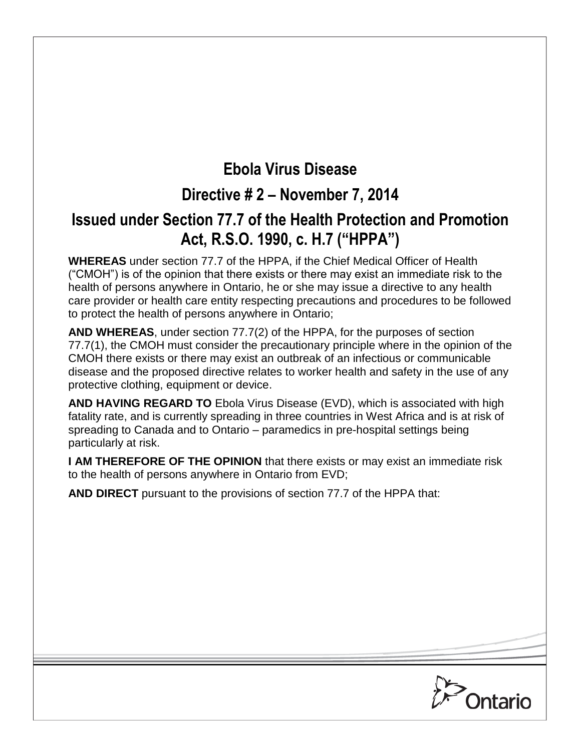# **Ebola Virus Disease**

## **Directive # 2 – November 7, 2014**

## **Issued under Section 77.7 of the Health Protection and Promotion Act, R.S.O. 1990, c. H.7 ("HPPA")**

**WHEREAS** under section 77.7 of the HPPA, if the Chief Medical Officer of Health ("CMOH") is of the opinion that there exists or there may exist an immediate risk to the health of persons anywhere in Ontario, he or she may issue a directive to any health care provider or health care entity respecting precautions and procedures to be followed to protect the health of persons anywhere in Ontario;

**AND WHEREAS**, under section 77.7(2) of the HPPA, for the purposes of section 77.7(1), the CMOH must consider the precautionary principle where in the opinion of the CMOH there exists or there may exist an outbreak of an infectious or communicable disease and the proposed directive relates to worker health and safety in the use of any protective clothing, equipment or device.

**AND HAVING REGARD TO** Ebola Virus Disease (EVD), which is associated with high fatality rate, and is currently spreading in three countries in West Africa and is at risk of spreading to Canada and to Ontario – paramedics in pre-hospital settings being particularly at risk.

**I AM THEREFORE OF THE OPINION** that there exists or may exist an immediate risk to the health of persons anywhere in Ontario from EVD;

**AND DIRECT** pursuant to the provisions of section 77.7 of the HPPA that:

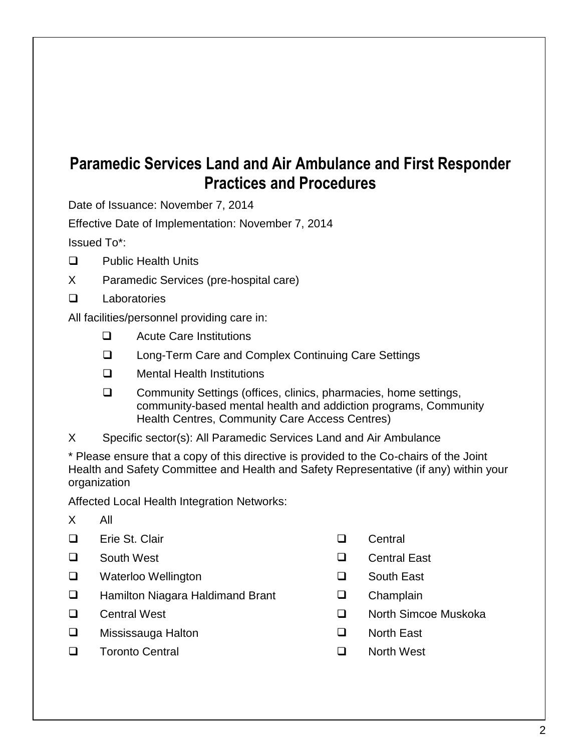## **Paramedic Services Land and Air Ambulance and First Responder Practices and Procedures**

Date of Issuance: November 7, 2014

Effective Date of Implementation: November 7, 2014

Issued To\*:

- **Q** Public Health Units
- X Paramedic Services (pre-hospital care)
- Laboratories

All facilities/personnel providing care in:

- □ Acute Care Institutions
- □ Long-Term Care and Complex Continuing Care Settings
- **Q** Mental Health Institutions
- □ Community Settings (offices, clinics, pharmacies, home settings, community-based mental health and addiction programs, Community Health Centres, Community Care Access Centres)
- X Specific sector(s): All Paramedic Services Land and Air Ambulance

\* Please ensure that a copy of this directive is provided to the Co-chairs of the Joint Health and Safety Committee and Health and Safety Representative (if any) within your organization

Affected Local Health Integration Networks:

- X All
- Erie St. Clair Central
- 
- Waterloo Wellington South East
- **u.** Hamilton Niagara Haldimand Brant **Communist Champlain**
- 
- □ Mississauga Halton North East
- Toronto Central North West
- 
- South West Central East
	-
	-
- □ Central West North Simcoe Muskoka
	-
	-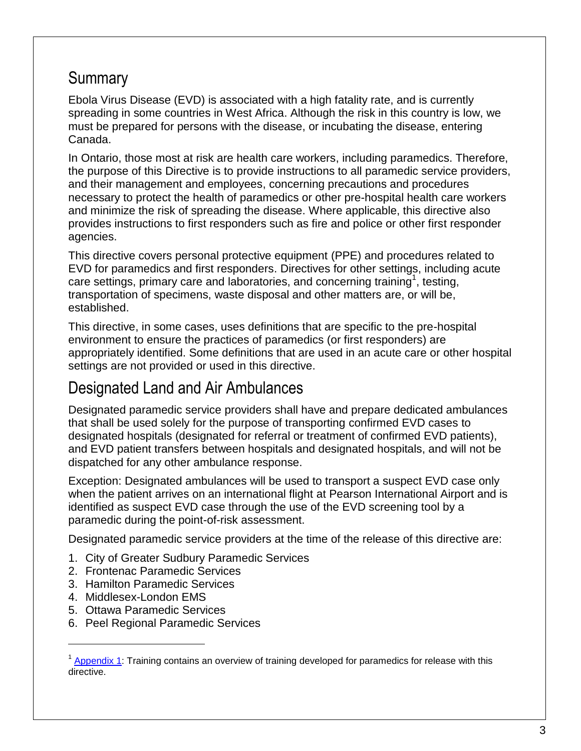## **Summary**

Ebola Virus Disease (EVD) is associated with a high fatality rate, and is currently spreading in some countries in West Africa. Although the risk in this country is low, we must be prepared for persons with the disease, or incubating the disease, entering Canada.

In Ontario, those most at risk are health care workers, including paramedics. Therefore, the purpose of this Directive is to provide instructions to all paramedic service providers, and their management and employees, concerning precautions and procedures necessary to protect the health of paramedics or other pre-hospital health care workers and minimize the risk of spreading the disease. Where applicable, this directive also provides instructions to first responders such as fire and police or other first responder agencies.

This directive covers personal protective equipment (PPE) and procedures related to EVD for paramedics and first responders. Directives for other settings, including acute care settings, primary care and laboratories, and concerning training<sup>1</sup>, testing, transportation of specimens, waste disposal and other matters are, or will be, established.

This directive, in some cases, uses definitions that are specific to the pre-hospital environment to ensure the practices of paramedics (or first responders) are appropriately identified. Some definitions that are used in an acute care or other hospital settings are not provided or used in this directive.

## Designated Land and Air Ambulances

Designated paramedic service providers shall have and prepare dedicated ambulances that shall be used solely for the purpose of transporting confirmed EVD cases to designated hospitals (designated for referral or treatment of confirmed EVD patients), and EVD patient transfers between hospitals and designated hospitals, and will not be dispatched for any other ambulance response.

Exception: Designated ambulances will be used to transport a suspect EVD case only when the patient arrives on an international flight at Pearson International Airport and is identified as suspect EVD case through the use of the EVD screening tool by a paramedic during the point-of-risk assessment.

Designated paramedic service providers at the time of the release of this directive are:

- 1. City of Greater Sudbury Paramedic Services
- 2. Frontenac Paramedic Services
- 3. Hamilton Paramedic Services
- 4. Middlesex-London EMS

 $\overline{a}$ 

- 5. Ottawa Paramedic Services
- 6. Peel Regional Paramedic Services

<sup>&</sup>lt;sup>1</sup> Appendix 1: Training contains an overview of training developed for paramedics for release with this directive.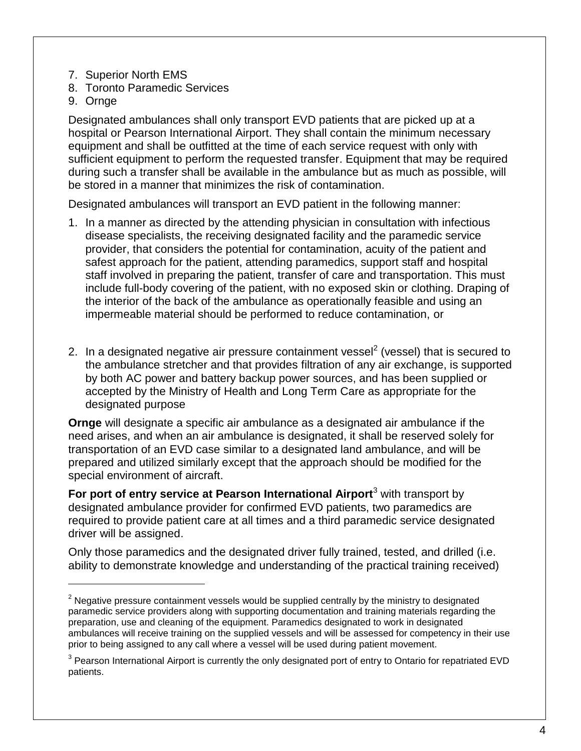- 7. Superior North EMS
- 8. Toronto Paramedic Services
- 9. Ornge

 $\overline{a}$ 

Designated ambulances shall only transport EVD patients that are picked up at a hospital or Pearson International Airport. They shall contain the minimum necessary equipment and shall be outfitted at the time of each service request with only with sufficient equipment to perform the requested transfer. Equipment that may be required during such a transfer shall be available in the ambulance but as much as possible, will be stored in a manner that minimizes the risk of contamination.

Designated ambulances will transport an EVD patient in the following manner:

- 1. In a manner as directed by the attending physician in consultation with infectious disease specialists, the receiving designated facility and the paramedic service provider, that considers the potential for contamination, acuity of the patient and safest approach for the patient, attending paramedics, support staff and hospital staff involved in preparing the patient, transfer of care and transportation. This must include full-body covering of the patient, with no exposed skin or clothing. Draping of the interior of the back of the ambulance as operationally feasible and using an impermeable material should be performed to reduce contamination, or
- 2. In a designated negative air pressure containment vessel<sup>2</sup> (vessel) that is secured to the ambulance stretcher and that provides filtration of any air exchange, is supported by both AC power and battery backup power sources, and has been supplied or accepted by the Ministry of Health and Long Term Care as appropriate for the designated purpose

**Ornge** will designate a specific air ambulance as a designated air ambulance if the need arises, and when an air ambulance is designated, it shall be reserved solely for transportation of an EVD case similar to a designated land ambulance, and will be prepared and utilized similarly except that the approach should be modified for the special environment of aircraft.

**For port of entry service at Pearson International Airport**<sup>3</sup> with transport by designated ambulance provider for confirmed EVD patients, two paramedics are required to provide patient care at all times and a third paramedic service designated driver will be assigned.

Only those paramedics and the designated driver fully trained, tested, and drilled (i.e. ability to demonstrate knowledge and understanding of the practical training received)

 $2$  Negative pressure containment vessels would be supplied centrally by the ministry to designated paramedic service providers along with supporting documentation and training materials regarding the preparation, use and cleaning of the equipment. Paramedics designated to work in designated ambulances will receive training on the supplied vessels and will be assessed for competency in their use prior to being assigned to any call where a vessel will be used during patient movement.

 $3$  Pearson International Airport is currently the only designated port of entry to Ontario for repatriated EVD patients.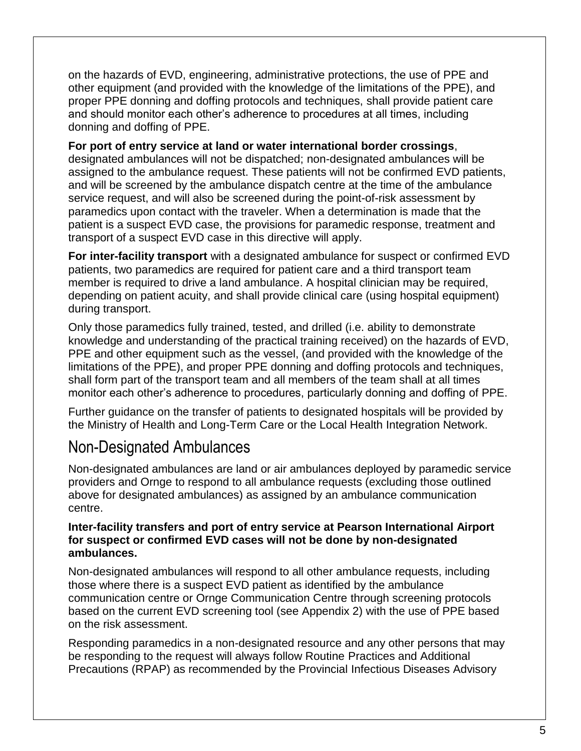on the hazards of EVD, engineering, administrative protections, the use of PPE and other equipment (and provided with the knowledge of the limitations of the PPE), and proper PPE donning and doffing protocols and techniques, shall provide patient care and should monitor each other's adherence to procedures at all times, including donning and doffing of PPE.

**For port of entry service at land or water international border crossings**, designated ambulances will not be dispatched; non-designated ambulances will be assigned to the ambulance request. These patients will not be confirmed EVD patients, and will be screened by the ambulance dispatch centre at the time of the ambulance service request, and will also be screened during the point-of-risk assessment by paramedics upon contact with the traveler. When a determination is made that the patient is a suspect EVD case, the provisions for paramedic response, treatment and transport of a suspect EVD case in this directive will apply.

**For inter-facility transport** with a designated ambulance for suspect or confirmed EVD patients, two paramedics are required for patient care and a third transport team member is required to drive a land ambulance. A hospital clinician may be required, depending on patient acuity, and shall provide clinical care (using hospital equipment) during transport.

Only those paramedics fully trained, tested, and drilled (i.e. ability to demonstrate knowledge and understanding of the practical training received) on the hazards of EVD, PPE and other equipment such as the vessel, (and provided with the knowledge of the limitations of the PPE), and proper PPE donning and doffing protocols and techniques, shall form part of the transport team and all members of the team shall at all times monitor each other's adherence to procedures, particularly donning and doffing of PPE.

Further guidance on the transfer of patients to designated hospitals will be provided by the Ministry of Health and Long-Term Care or the Local Health Integration Network.

### Non-Designated Ambulances

Non-designated ambulances are land or air ambulances deployed by paramedic service providers and Ornge to respond to all ambulance requests (excluding those outlined above for designated ambulances) as assigned by an ambulance communication centre.

#### **Inter-facility transfers and port of entry service at Pearson International Airport for suspect or confirmed EVD cases will not be done by non-designated ambulances.**

Non-designated ambulances will respond to all other ambulance requests, including those where there is a suspect EVD patient as identified by the ambulance communication centre or Ornge Communication Centre through screening protocols based on the current EVD screening tool (see Appendix 2) with the use of PPE based on the risk assessment.

Responding paramedics in a non-designated resource and any other persons that may be responding to the request will always follow Routine Practices and Additional Precautions (RPAP) as recommended by the Provincial Infectious Diseases Advisory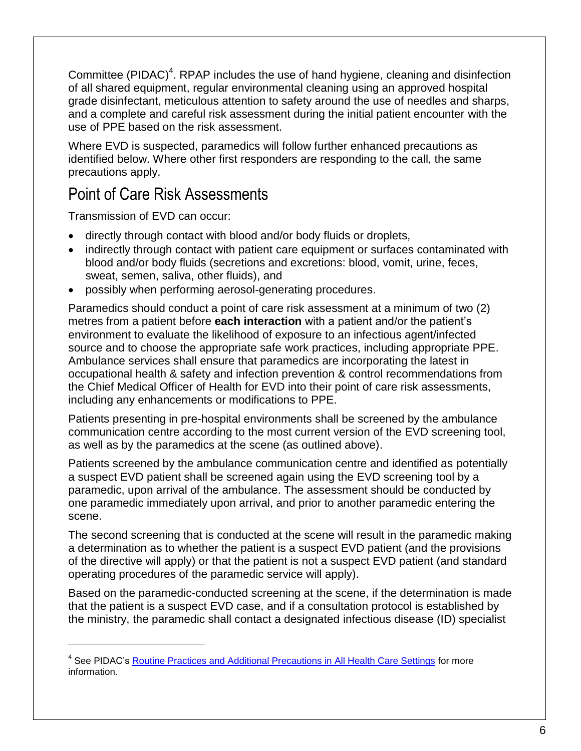Committee (PIDAC)<sup>4</sup>. RPAP includes the use of hand hygiene, cleaning and disinfection of all shared equipment, regular environmental cleaning using an approved hospital grade disinfectant, meticulous attention to safety around the use of needles and sharps, and a complete and careful risk assessment during the initial patient encounter with the use of PPE based on the risk assessment.

Where EVD is suspected, paramedics will follow further enhanced precautions as identified below. Where other first responders are responding to the call, the same precautions apply.

## Point of Care Risk Assessments

Transmission of EVD can occur:

 $\overline{a}$ 

- directly through contact with blood and/or body fluids or droplets,
- indirectly through contact with patient care equipment or surfaces contaminated with blood and/or body fluids (secretions and excretions: blood, vomit, urine, feces, sweat, semen, saliva, other fluids), and
- possibly when performing aerosol-generating procedures.

Paramedics should conduct a point of care risk assessment at a minimum of two (2) metres from a patient before **each interaction** with a patient and/or the patient's environment to evaluate the likelihood of exposure to an infectious agent/infected source and to choose the appropriate safe work practices, including appropriate PPE. Ambulance services shall ensure that paramedics are incorporating the latest in occupational health & safety and infection prevention & control recommendations from the Chief Medical Officer of Health for EVD into their point of care risk assessments, including any enhancements or modifications to PPE.

Patients presenting in pre-hospital environments shall be screened by the ambulance communication centre according to the most current version of the EVD screening tool, as well as by the paramedics at the scene (as outlined above).

Patients screened by the ambulance communication centre and identified as potentially a suspect EVD patient shall be screened again using the EVD screening tool by a paramedic, upon arrival of the ambulance. The assessment should be conducted by one paramedic immediately upon arrival, and prior to another paramedic entering the scene.

The second screening that is conducted at the scene will result in the paramedic making a determination as to whether the patient is a suspect EVD patient (and the provisions of the directive will apply) or that the patient is not a suspect EVD patient (and standard operating procedures of the paramedic service will apply).

Based on the paramedic-conducted screening at the scene, if the determination is made that the patient is a suspect EVD case, and if a consultation protocol is established by the ministry, the paramedic shall contact a designated infectious disease (ID) specialist

<sup>&</sup>lt;sup>4</sup> See PIDAC's **Routine Practices and Additional Precautions in All Health Care Settings** for more information.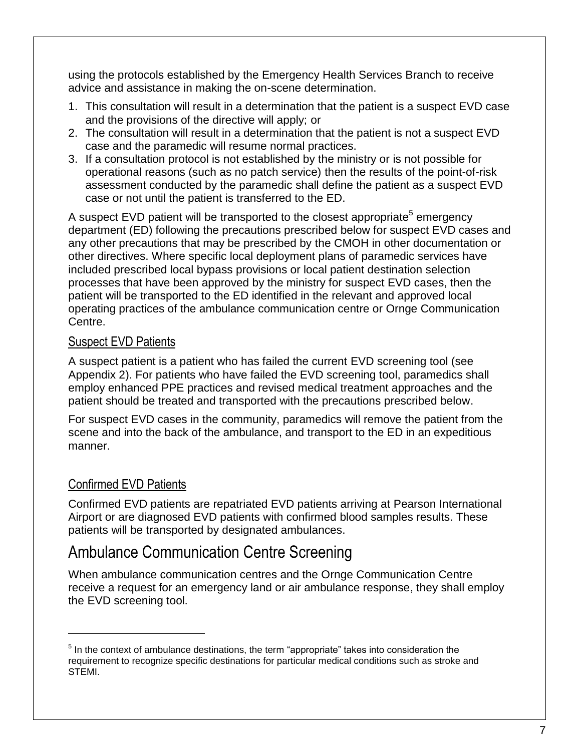using the protocols established by the Emergency Health Services Branch to receive advice and assistance in making the on-scene determination.

- 1. This consultation will result in a determination that the patient is a suspect EVD case and the provisions of the directive will apply; or
- 2. The consultation will result in a determination that the patient is not a suspect EVD case and the paramedic will resume normal practices.
- 3. If a consultation protocol is not established by the ministry or is not possible for operational reasons (such as no patch service) then the results of the point-of-risk assessment conducted by the paramedic shall define the patient as a suspect EVD case or not until the patient is transferred to the ED.

A suspect EVD patient will be transported to the closest appropriate<sup>5</sup> emergency department (ED) following the precautions prescribed below for suspect EVD cases and any other precautions that may be prescribed by the CMOH in other documentation or other directives. Where specific local deployment plans of paramedic services have included prescribed local bypass provisions or local patient destination selection processes that have been approved by the ministry for suspect EVD cases, then the patient will be transported to the ED identified in the relevant and approved local operating practices of the ambulance communication centre or Ornge Communication Centre.

### Suspect EVD Patients

A suspect patient is a patient who has failed the current EVD screening tool (see Appendix 2). For patients who have failed the EVD screening tool, paramedics shall employ enhanced PPE practices and revised medical treatment approaches and the patient should be treated and transported with the precautions prescribed below.

For suspect EVD cases in the community, paramedics will remove the patient from the scene and into the back of the ambulance, and transport to the ED in an expeditious manner.

### Confirmed EVD Patients

 $\overline{a}$ 

Confirmed EVD patients are repatriated EVD patients arriving at Pearson International Airport or are diagnosed EVD patients with confirmed blood samples results. These patients will be transported by designated ambulances.

## Ambulance Communication Centre Screening

When ambulance communication centres and the Ornge Communication Centre receive a request for an emergency land or air ambulance response, they shall employ the EVD screening tool.

 $<sup>5</sup>$  In the context of ambulance destinations, the term "appropriate" takes into consideration the</sup> requirement to recognize specific destinations for particular medical conditions such as stroke and STEMI.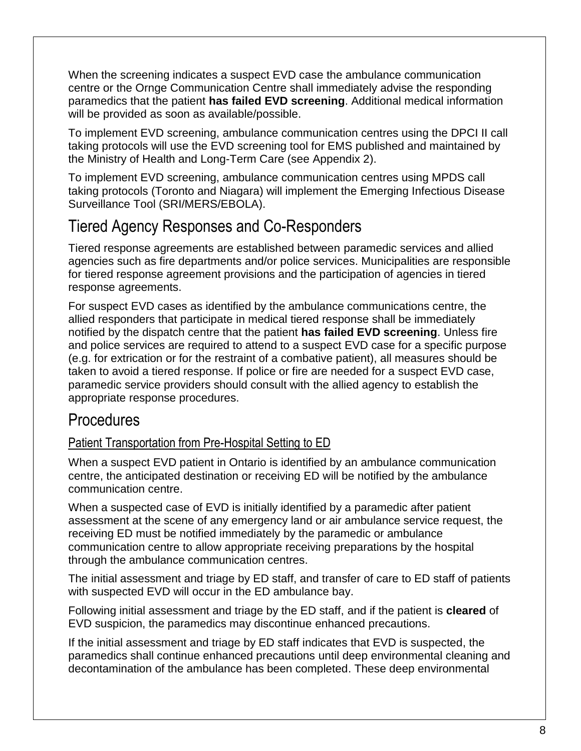When the screening indicates a suspect EVD case the ambulance communication centre or the Ornge Communication Centre shall immediately advise the responding paramedics that the patient **has failed EVD screening**. Additional medical information will be provided as soon as available/possible.

To implement EVD screening, ambulance communication centres using the DPCI II call taking protocols will use the EVD screening tool for EMS published and maintained by the Ministry of Health and Long-Term Care (see Appendix 2).

To implement EVD screening, ambulance communication centres using MPDS call taking protocols (Toronto and Niagara) will implement the Emerging Infectious Disease Surveillance Tool (SRI/MERS/EBOLA).

## Tiered Agency Responses and Co-Responders

Tiered response agreements are established between paramedic services and allied agencies such as fire departments and/or police services. Municipalities are responsible for tiered response agreement provisions and the participation of agencies in tiered response agreements.

For suspect EVD cases as identified by the ambulance communications centre, the allied responders that participate in medical tiered response shall be immediately notified by the dispatch centre that the patient **has failed EVD screening**. Unless fire and police services are required to attend to a suspect EVD case for a specific purpose (e.g. for extrication or for the restraint of a combative patient), all measures should be taken to avoid a tiered response. If police or fire are needed for a suspect EVD case, paramedic service providers should consult with the allied agency to establish the appropriate response procedures.

### **Procedures**

### Patient Transportation from Pre-Hospital Setting to ED

When a suspect EVD patient in Ontario is identified by an ambulance communication centre, the anticipated destination or receiving ED will be notified by the ambulance communication centre.

When a suspected case of EVD is initially identified by a paramedic after patient assessment at the scene of any emergency land or air ambulance service request, the receiving ED must be notified immediately by the paramedic or ambulance communication centre to allow appropriate receiving preparations by the hospital through the ambulance communication centres.

The initial assessment and triage by ED staff, and transfer of care to ED staff of patients with suspected EVD will occur in the ED ambulance bay.

Following initial assessment and triage by the ED staff, and if the patient is **cleared** of EVD suspicion, the paramedics may discontinue enhanced precautions.

If the initial assessment and triage by ED staff indicates that EVD is suspected, the paramedics shall continue enhanced precautions until deep environmental cleaning and decontamination of the ambulance has been completed. These deep environmental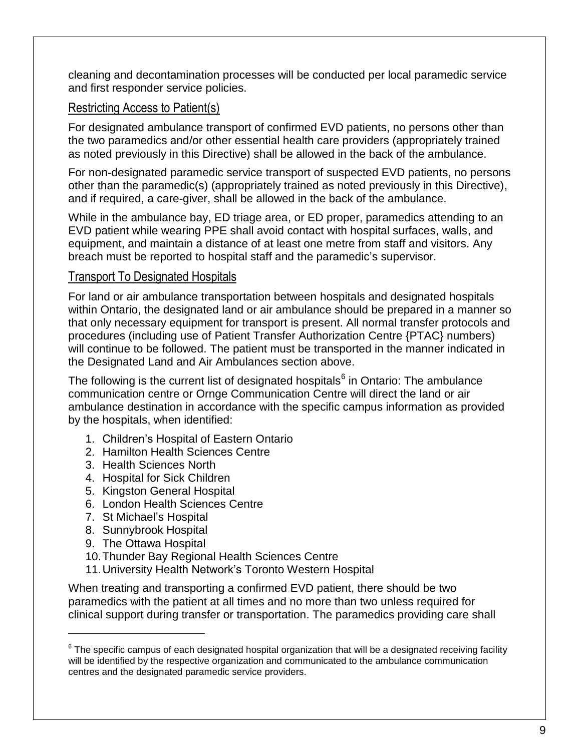cleaning and decontamination processes will be conducted per local paramedic service and first responder service policies.

### Restricting Access to Patient(s)

For designated ambulance transport of confirmed EVD patients, no persons other than the two paramedics and/or other essential health care providers (appropriately trained as noted previously in this Directive) shall be allowed in the back of the ambulance.

For non-designated paramedic service transport of suspected EVD patients, no persons other than the paramedic(s) (appropriately trained as noted previously in this Directive), and if required, a care-giver, shall be allowed in the back of the ambulance.

While in the ambulance bay, ED triage area, or ED proper, paramedics attending to an EVD patient while wearing PPE shall avoid contact with hospital surfaces, walls, and equipment, and maintain a distance of at least one metre from staff and visitors. Any breach must be reported to hospital staff and the paramedic's supervisor.

### Transport To Designated Hospitals

For land or air ambulance transportation between hospitals and designated hospitals within Ontario, the designated land or air ambulance should be prepared in a manner so that only necessary equipment for transport is present. All normal transfer protocols and procedures (including use of Patient Transfer Authorization Centre {PTAC} numbers) will continue to be followed. The patient must be transported in the manner indicated in the Designated Land and Air Ambulances section above.

The following is the current list of designated hospitals $^6$  in Ontario: The ambulance communication centre or Ornge Communication Centre will direct the land or air ambulance destination in accordance with the specific campus information as provided by the hospitals, when identified:

- 1. Children's Hospital of Eastern Ontario
- 2. Hamilton Health Sciences Centre
- 3. Health Sciences North
- 4. Hospital for Sick Children
- 5. Kingston General Hospital
- 6. London Health Sciences Centre
- 7. St Michael's Hospital
- 8. Sunnybrook Hospital
- 9. The Ottawa Hospital

 $\overline{a}$ 

- 10.Thunder Bay Regional Health Sciences Centre
- 11.University Health Network's Toronto Western Hospital

When treating and transporting a confirmed EVD patient, there should be two paramedics with the patient at all times and no more than two unless required for clinical support during transfer or transportation. The paramedics providing care shall

 $^6$  The specific campus of each designated hospital organization that will be a designated receiving facility will be identified by the respective organization and communicated to the ambulance communication centres and the designated paramedic service providers.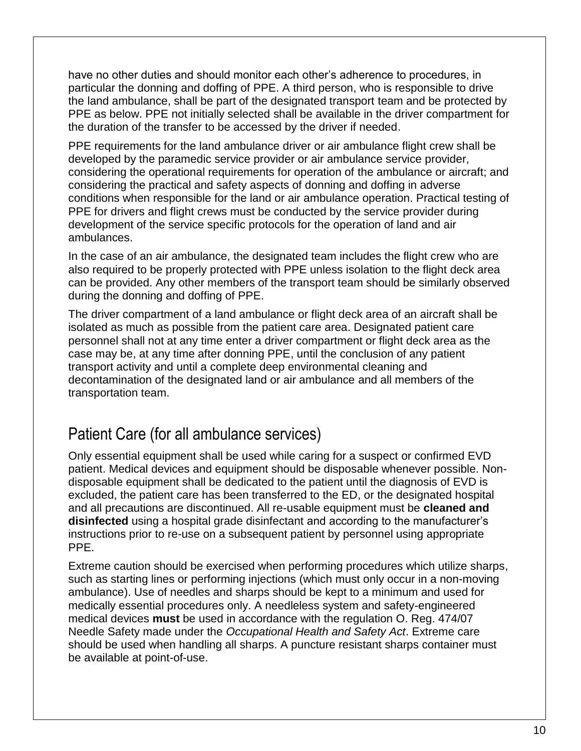have no other duties and should monitor each other's adherence to procedures, in particular the donning and doffing of PPE. A third person, who is responsible to drive the land ambulance, shall be part of the designated transport team and be protected by PPE as below. PPE not initially selected shall be available in the driver compartment for the duration of the transfer to be accessed by the driver if needed.

PPE requirements for the land ambulance driver or air ambulance flight crew shall be developed by the paramedic service provider or air ambulance service provider, considering the operational requirements for operation of the ambulance or aircraft; and considering the practical and safety aspects of donning and doffing in adverse conditions when responsible for the land or air ambulance operation. Practical testing of PPE for drivers and flight crews must be conducted by the service provider during development of the service specific protocols for the operation of land and air ambulances.

In the case of an air ambulance, the designated team includes the flight crew who are also required to be properly protected with PPE unless isolation to the flight deck area can be provided. Any other members of the transport team should be similarly observed during the donning and doffing of PPE.

The driver compartment of a land ambulance or flight deck area of an aircraft shall be isolated as much as possible from the patient care area. Designated patient care personnel shall not at any time enter a driver compartment or flight deck area as the case may be, at any time after donning PPE, until the conclusion of any patient transport activity and until a complete deep environmental cleaning and decontamination of the designated land or air ambulance and all members of the transportation team.

## Patient Care (for all ambulance services)

Only essential equipment shall be used while caring for a suspect or confirmed EVD patient. Medical devices and equipment should be disposable whenever possible. Nondisposable equipment shall be dedicated to the patient until the diagnosis of EVD is excluded, the patient care has been transferred to the ED, or the designated hospital and all precautions are discontinued. All re-usable equipment must be **cleaned and disinfected** using a hospital grade disinfectant and according to the manufacturer's instructions prior to re-use on a subsequent patient by personnel using appropriate PPE.

Extreme caution should be exercised when performing procedures which utilize sharps, such as starting lines or performing injections (which must only occur in a non-moving ambulance). Use of needles and sharps should be kept to a minimum and used for medically essential procedures only. A needleless system and safety-engineered medical devices **must** be used in accordance with the regulation O. Reg. 474/07 Needle Safety made under the *Occupational Health and Safety Act*. Extreme care should be used when handling all sharps. A puncture resistant sharps container must be available at point-of-use.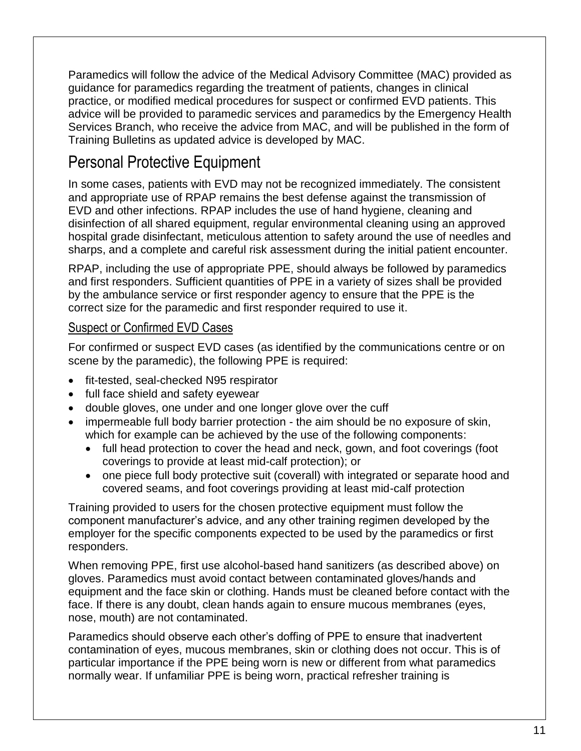Paramedics will follow the advice of the Medical Advisory Committee (MAC) provided as guidance for paramedics regarding the treatment of patients, changes in clinical practice, or modified medical procedures for suspect or confirmed EVD patients. This advice will be provided to paramedic services and paramedics by the Emergency Health Services Branch, who receive the advice from MAC, and will be published in the form of Training Bulletins as updated advice is developed by MAC.

# Personal Protective Equipment

In some cases, patients with EVD may not be recognized immediately. The consistent and appropriate use of RPAP remains the best defense against the transmission of EVD and other infections. RPAP includes the use of hand hygiene, cleaning and disinfection of all shared equipment, regular environmental cleaning using an approved hospital grade disinfectant, meticulous attention to safety around the use of needles and sharps, and a complete and careful risk assessment during the initial patient encounter.

RPAP, including the use of appropriate PPE, should always be followed by paramedics and first responders. Sufficient quantities of PPE in a variety of sizes shall be provided by the ambulance service or first responder agency to ensure that the PPE is the correct size for the paramedic and first responder required to use it.

### Suspect or Confirmed EVD Cases

For confirmed or suspect EVD cases (as identified by the communications centre or on scene by the paramedic), the following PPE is required:

- fit-tested, seal-checked N95 respirator
- full face shield and safety eyewear
- double gloves, one under and one longer glove over the cuff
- impermeable full body barrier protection the aim should be no exposure of skin, which for example can be achieved by the use of the following components:
	- full head protection to cover the head and neck, gown, and foot coverings (foot coverings to provide at least mid-calf protection); or
	- one piece full body protective suit (coverall) with integrated or separate hood and covered seams, and foot coverings providing at least mid-calf protection

Training provided to users for the chosen protective equipment must follow the component manufacturer's advice, and any other training regimen developed by the employer for the specific components expected to be used by the paramedics or first responders.

When removing PPE, first use alcohol-based hand sanitizers (as described above) on gloves. Paramedics must avoid contact between contaminated gloves/hands and equipment and the face skin or clothing. Hands must be cleaned before contact with the face. If there is any doubt, clean hands again to ensure mucous membranes (eyes, nose, mouth) are not contaminated.

Paramedics should observe each other's doffing of PPE to ensure that inadvertent contamination of eyes, mucous membranes, skin or clothing does not occur. This is of particular importance if the PPE being worn is new or different from what paramedics normally wear. If unfamiliar PPE is being worn, practical refresher training is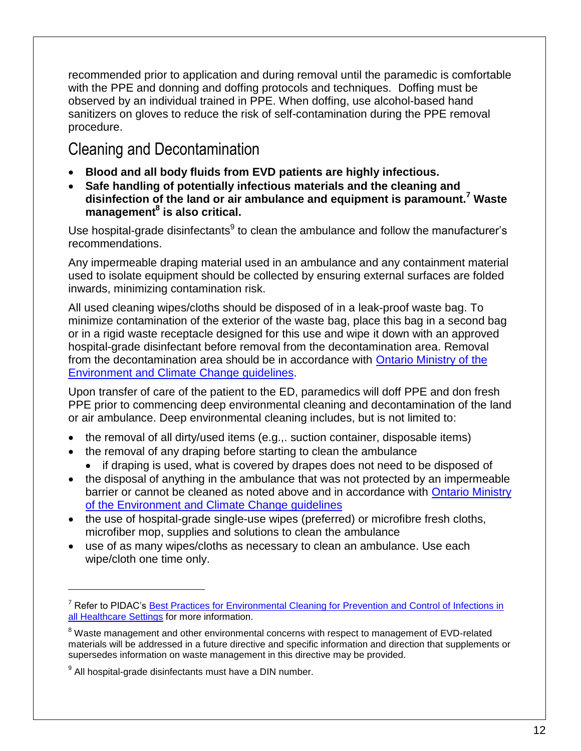recommended prior to application and during removal until the paramedic is comfortable with the PPE and donning and doffing protocols and techniques. Doffing must be observed by an individual trained in PPE. When doffing, use alcohol-based hand sanitizers on gloves to reduce the risk of self-contamination during the PPE removal procedure.

## Cleaning and Decontamination

- **Blood and all body fluids from EVD patients are highly infectious.**
- **Safe handling of potentially infectious materials and the cleaning and disinfection of the land or air ambulance and equipment is paramount.<sup>7</sup> Waste management<sup>8</sup> is also critical.**

Use hospital-grade disinfectants<sup>9</sup> to clean the ambulance and follow the manufacturer's recommendations.

Any impermeable draping material used in an ambulance and any containment material used to isolate equipment should be collected by ensuring external surfaces are folded inwards, minimizing contamination risk.

All used cleaning wipes/cloths should be disposed of in a leak-proof waste bag. To minimize contamination of the exterior of the waste bag, place this bag in a second bag or in a rigid waste receptacle designed for this use and wipe it down with an approved hospital-grade disinfectant before removal from the decontamination area. Removal from the decontamination area should be in accordance with Ontario [Ministry of the](http://www.ontario.ca/environment-and-energy/hazardous-waste-management-business-and-industry)  Environment [and Climate Change guidelines.](http://www.ontario.ca/environment-and-energy/hazardous-waste-management-business-and-industry)

Upon transfer of care of the patient to the ED, paramedics will doff PPE and don fresh PPE prior to commencing deep environmental cleaning and decontamination of the land or air ambulance. Deep environmental cleaning includes, but is not limited to:

- the removal of all dirty/used items (e.g.,. suction container, disposable items)
- the removal of any draping before starting to clean the ambulance
	- if draping is used, what is covered by drapes does not need to be disposed of
- the disposal of anything in the ambulance that was not protected by an impermeable barrier or cannot be cleaned as noted above and in accordance with [Ontario Ministry](http://www.ontario.ca/environment-and-energy/hazardous-waste-management-business-and-industryhttp:/www.ontario.ca/environment-and-energy/hazardous-waste-management-business-and-industry)  [of the Environment and Climate Change guidelines](http://www.ontario.ca/environment-and-energy/hazardous-waste-management-business-and-industryhttp:/www.ontario.ca/environment-and-energy/hazardous-waste-management-business-and-industry)
- the use of hospital-grade single-use wipes (preferred) or microfibre fresh cloths, microfiber mop, supplies and solutions to clean the ambulance
- use of as many wipes/cloths as necessary to clean an ambulance. Use each wipe/cloth one time only.

 $\overline{a}$ 

<sup>&</sup>lt;sup>7</sup> Refer to PIDAC's Best Practices for Environmental Cleaning for Prevention and Control of Infections in [all Healthcare Settings](http://www.publichealthontario.ca/en/eRepository/best_practices_environmental_cleaning_2012.pdf) for more information.

<sup>&</sup>lt;sup>8</sup> Waste management and other environmental concerns with respect to management of EVD-related materials will be addressed in a future directive and specific information and direction that supplements or supersedes information on waste management in this directive may be provided.

<sup>&</sup>lt;sup>9</sup> All hospital-grade disinfectants must have a DIN number.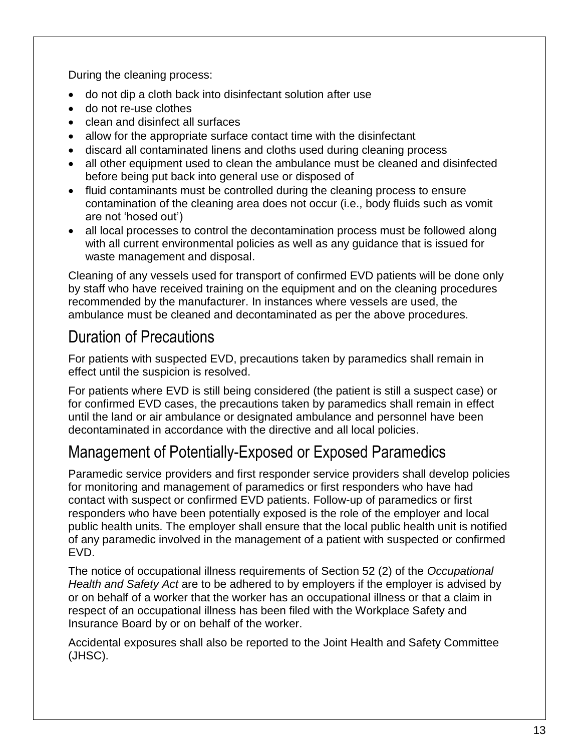During the cleaning process:

- do not dip a cloth back into disinfectant solution after use
- do not re-use clothes
- clean and disinfect all surfaces
- allow for the appropriate surface contact time with the disinfectant
- discard all contaminated linens and cloths used during cleaning process
- all other equipment used to clean the ambulance must be cleaned and disinfected before being put back into general use or disposed of
- fluid contaminants must be controlled during the cleaning process to ensure contamination of the cleaning area does not occur (i.e., body fluids such as vomit are not 'hosed out')
- all local processes to control the decontamination process must be followed along with all current environmental policies as well as any guidance that is issued for waste management and disposal.

Cleaning of any vessels used for transport of confirmed EVD patients will be done only by staff who have received training on the equipment and on the cleaning procedures recommended by the manufacturer. In instances where vessels are used, the ambulance must be cleaned and decontaminated as per the above procedures.

# Duration of Precautions

For patients with suspected EVD, precautions taken by paramedics shall remain in effect until the suspicion is resolved.

For patients where EVD is still being considered (the patient is still a suspect case) or for confirmed EVD cases, the precautions taken by paramedics shall remain in effect until the land or air ambulance or designated ambulance and personnel have been decontaminated in accordance with the directive and all local policies.

## Management of Potentially-Exposed or Exposed Paramedics

Paramedic service providers and first responder service providers shall develop policies for monitoring and management of paramedics or first responders who have had contact with suspect or confirmed EVD patients. Follow-up of paramedics or first responders who have been potentially exposed is the role of the employer and local public health units. The employer shall ensure that the local public health unit is notified of any paramedic involved in the management of a patient with suspected or confirmed EVD.

The notice of occupational illness requirements of Section 52 (2) of the *Occupational Health and Safety Act* are to be adhered to by employers if the employer is advised by or on behalf of a worker that the worker has an occupational illness or that a claim in respect of an occupational illness has been filed with the Workplace Safety and Insurance Board by or on behalf of the worker.

Accidental exposures shall also be reported to the Joint Health and Safety Committee (JHSC).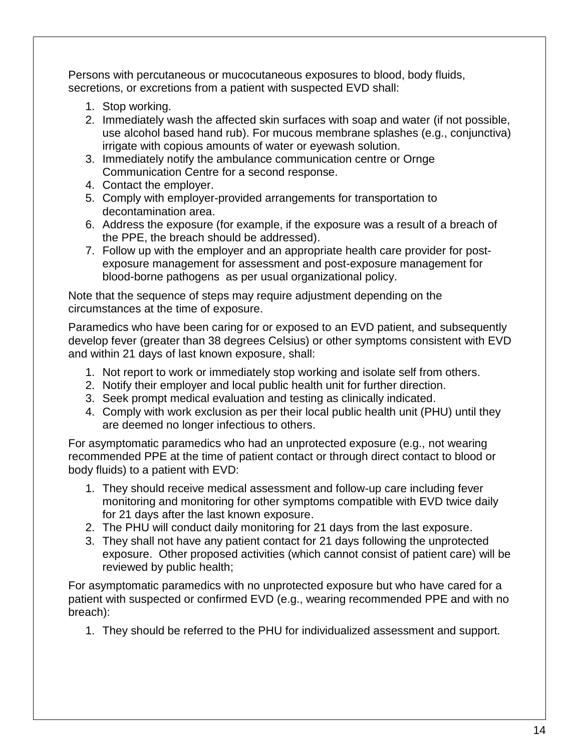Persons with percutaneous or mucocutaneous exposures to blood, body fluids, secretions, or excretions from a patient with suspected EVD shall:

- 1. Stop working.
- 2. Immediately wash the affected skin surfaces with soap and water (if not possible, use alcohol based hand rub). For mucous membrane splashes (e.g., conjunctiva) irrigate with copious amounts of water or eyewash solution.
- 3. Immediately notify the ambulance communication centre or Ornge Communication Centre for a second response.
- 4. Contact the employer.
- 5. Comply with employer-provided arrangements for transportation to decontamination area.
- 6. Address the exposure (for example, if the exposure was a result of a breach of the PPE, the breach should be addressed).
- 7. Follow up with the employer and an appropriate health care provider for postexposure management for assessment and post-exposure management for blood-borne pathogens as per usual organizational policy.

Note that the sequence of steps may require adjustment depending on the circumstances at the time of exposure.

Paramedics who have been caring for or exposed to an EVD patient, and subsequently develop fever (greater than 38 degrees Celsius) or other symptoms consistent with EVD and within 21 days of last known exposure, shall:

- 1. Not report to work or immediately stop working and isolate self from others.
- 2. Notify their employer and local public health unit for further direction.
- 3. Seek prompt medical evaluation and testing as clinically indicated.
- 4. Comply with work exclusion as per their local public health unit (PHU) until they are deemed no longer infectious to others.

For asymptomatic paramedics who had an unprotected exposure (e.g., not wearing recommended PPE at the time of patient contact or through direct contact to blood or body fluids) to a patient with EVD:

- 1. They should receive medical assessment and follow-up care including fever monitoring and monitoring for other symptoms compatible with EVD twice daily for 21 days after the last known exposure.
- 2. The PHU will conduct daily monitoring for 21 days from the last exposure.
- 3. They shall not have any patient contact for 21 days following the unprotected exposure. Other proposed activities (which cannot consist of patient care) will be reviewed by public health;

For asymptomatic paramedics with no unprotected exposure but who have cared for a patient with suspected or confirmed EVD (e.g., wearing recommended PPE and with no breach):

1. They should be referred to the PHU for individualized assessment and support.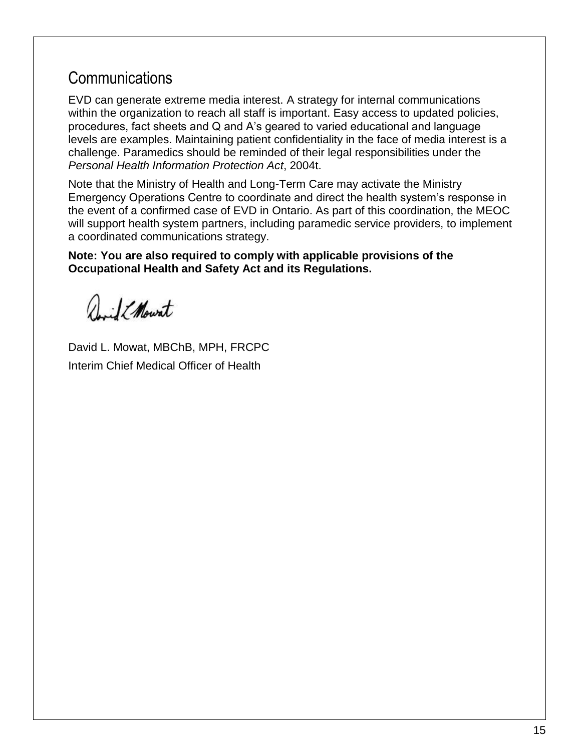## **Communications**

EVD can generate extreme media interest. A strategy for internal communications within the organization to reach all staff is important. Easy access to updated policies, procedures, fact sheets and Q and A's geared to varied educational and language levels are examples. Maintaining patient confidentiality in the face of media interest is a challenge. Paramedics should be reminded of their legal responsibilities under the *Personal Health Information Protection Act*, 2004t.

Note that the Ministry of Health and Long-Term Care may activate the Ministry Emergency Operations Centre to coordinate and direct the health system's response in the event of a confirmed case of EVD in Ontario. As part of this coordination, the MEOC will support health system partners, including paramedic service providers, to implement a coordinated communications strategy.

**Note: You are also required to comply with applicable provisions of the Occupational Health and Safety Act and its Regulations.**

Juil EMount

David L. Mowat, MBChB, MPH, FRCPC Interim Chief Medical Officer of Health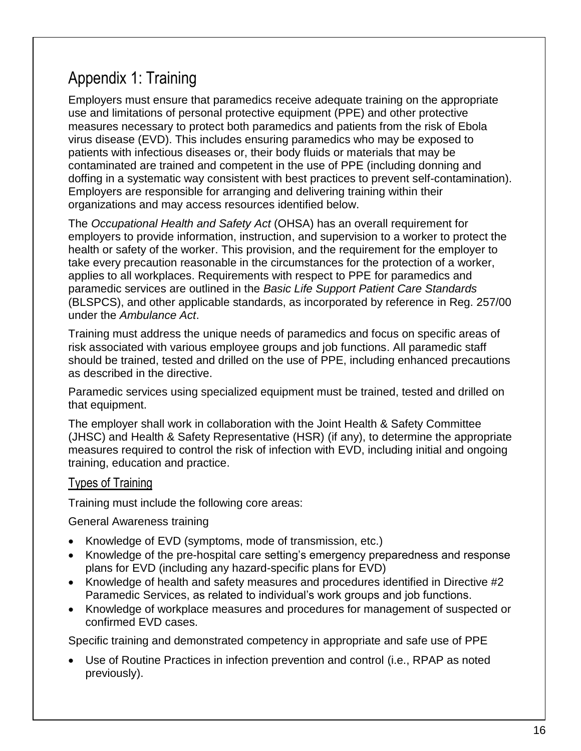# Appendix 1: Training

Employers must ensure that paramedics receive adequate training on the appropriate use and limitations of personal protective equipment (PPE) and other protective measures necessary to protect both paramedics and patients from the risk of Ebola virus disease (EVD). This includes ensuring paramedics who may be exposed to patients with infectious diseases or, their body fluids or materials that may be contaminated are trained and competent in the use of PPE (including donning and doffing in a systematic way consistent with best practices to prevent self-contamination). Employers are responsible for arranging and delivering training within their organizations and may access resources identified below.

The *Occupational Health and Safety Act* (OHSA) has an overall requirement for employers to provide information, instruction, and supervision to a worker to protect the health or safety of the worker. This provision, and the requirement for the employer to take every precaution reasonable in the circumstances for the protection of a worker, applies to all workplaces. Requirements with respect to PPE for paramedics and paramedic services are outlined in the *Basic Life Support Patient Care Standards* (BLSPCS), and other applicable standards, as incorporated by reference in Reg. 257/00 under the *Ambulance Act*.

Training must address the unique needs of paramedics and focus on specific areas of risk associated with various employee groups and job functions. All paramedic staff should be trained, tested and drilled on the use of PPE, including enhanced precautions as described in the directive.

Paramedic services using specialized equipment must be trained, tested and drilled on that equipment.

The employer shall work in collaboration with the Joint Health & Safety Committee (JHSC) and Health & Safety Representative (HSR) (if any), to determine the appropriate measures required to control the risk of infection with EVD, including initial and ongoing training, education and practice.

### Types of Training

Training must include the following core areas:

General Awareness training

- Knowledge of EVD (symptoms, mode of transmission, etc.)
- Knowledge of the pre-hospital care setting's emergency preparedness and response plans for EVD (including any hazard-specific plans for EVD)
- Knowledge of health and safety measures and procedures identified in Directive #2 Paramedic Services, as related to individual's work groups and job functions.
- Knowledge of workplace measures and procedures for management of suspected or confirmed EVD cases.

Specific training and demonstrated competency in appropriate and safe use of PPE

 Use of Routine Practices in infection prevention and control (i.e., RPAP as noted previously).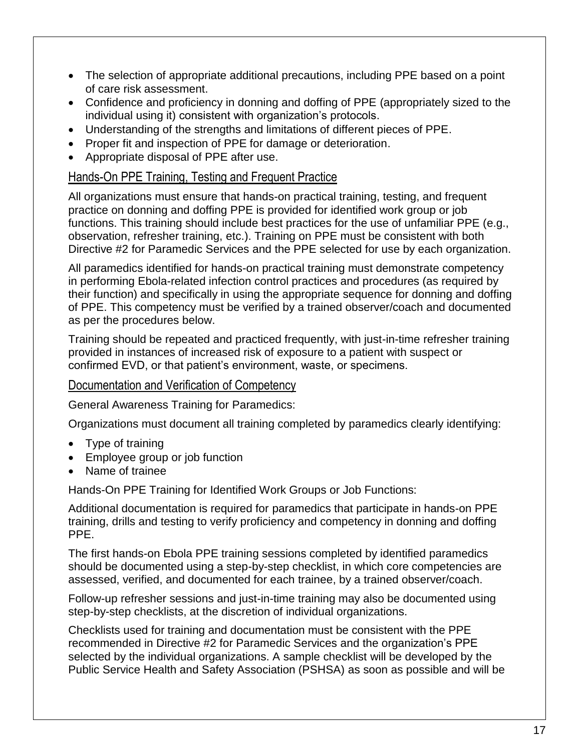- The selection of appropriate additional precautions, including PPE based on a point of care risk assessment.
- Confidence and proficiency in donning and doffing of PPE (appropriately sized to the individual using it) consistent with organization's protocols.
- Understanding of the strengths and limitations of different pieces of PPE.
- Proper fit and inspection of PPE for damage or deterioration.
- Appropriate disposal of PPE after use.

### Hands-On PPE Training, Testing and Frequent Practice

All organizations must ensure that hands-on practical training, testing, and frequent practice on donning and doffing PPE is provided for identified work group or job functions. This training should include best practices for the use of unfamiliar PPE (e.g., observation, refresher training, etc.). Training on PPE must be consistent with both Directive #2 for Paramedic Services and the PPE selected for use by each organization.

All paramedics identified for hands-on practical training must demonstrate competency in performing Ebola-related infection control practices and procedures (as required by their function) and specifically in using the appropriate sequence for donning and doffing of PPE. This competency must be verified by a trained observer/coach and documented as per the procedures below.

Training should be repeated and practiced frequently, with just-in-time refresher training provided in instances of increased risk of exposure to a patient with suspect or confirmed EVD, or that patient's environment, waste, or specimens.

### Documentation and Verification of Competency

General Awareness Training for Paramedics:

Organizations must document all training completed by paramedics clearly identifying:

- Type of training
- Employee group or job function
- Name of trainee

Hands-On PPE Training for Identified Work Groups or Job Functions:

Additional documentation is required for paramedics that participate in hands-on PPE training, drills and testing to verify proficiency and competency in donning and doffing PPE.

The first hands-on Ebola PPE training sessions completed by identified paramedics should be documented using a step-by-step checklist, in which core competencies are assessed, verified, and documented for each trainee, by a trained observer/coach.

Follow-up refresher sessions and just-in-time training may also be documented using step-by-step checklists, at the discretion of individual organizations.

Checklists used for training and documentation must be consistent with the PPE recommended in Directive #2 for Paramedic Services and the organization's PPE selected by the individual organizations. A sample checklist will be developed by the Public Service Health and Safety Association (PSHSA) as soon as possible and will be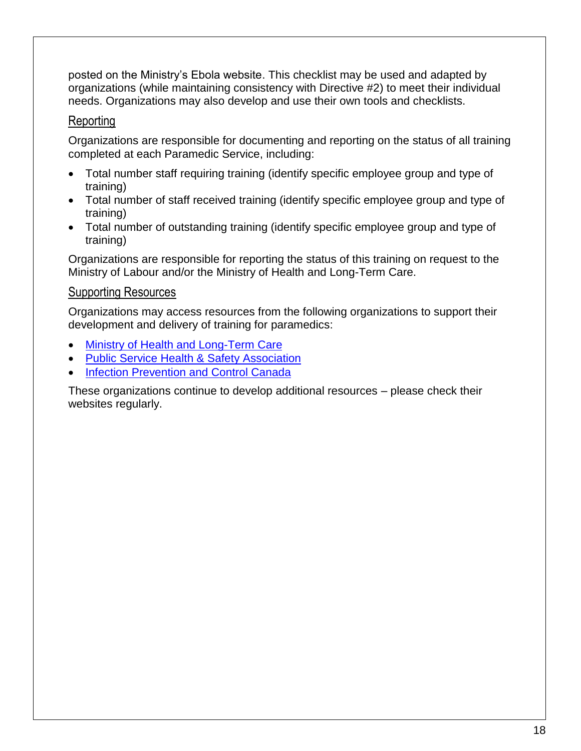posted on the Ministry's Ebola website. This checklist may be used and adapted by organizations (while maintaining consistency with Directive #2) to meet their individual needs. Organizations may also develop and use their own tools and checklists.

### Reporting

Organizations are responsible for documenting and reporting on the status of all training completed at each Paramedic Service, including:

- Total number staff requiring training (identify specific employee group and type of training)
- Total number of staff received training (identify specific employee group and type of training)
- Total number of outstanding training (identify specific employee group and type of training)

Organizations are responsible for reporting the status of this training on request to the Ministry of Labour and/or the Ministry of Health and Long-Term Care.

### Supporting Resources

Organizations may access resources from the following organizations to support their development and delivery of training for paramedics:

- [Ministry of Health and Long-Term Care](http://www.ontario.ca/ebola)
- [Public Service Health & Safety Association](http://www.pshsa.ca/)
- [Infection Prevention and Control Canada](http://www.ipac-canada.org/)

These organizations continue to develop additional resources – please check their websites regularly.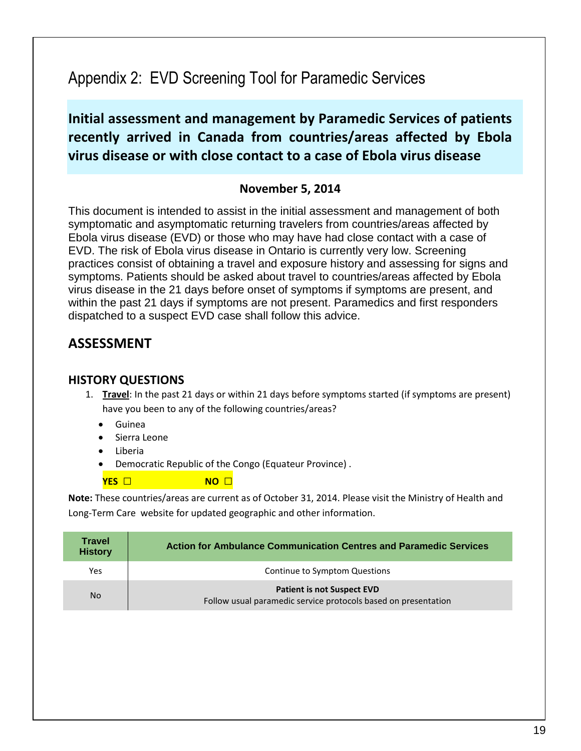# Appendix 2: EVD Screening Tool for Paramedic Services

**Initial assessment and management by Paramedic Services of patients recently arrived in Canada from countries/areas affected by Ebola virus disease or with close contact to a case of Ebola virus disease**

### **November 5, 2014**

This document is intended to assist in the initial assessment and management of both symptomatic and asymptomatic returning travelers from countries/areas affected by Ebola virus disease (EVD) or those who may have had close contact with a case of EVD. The risk of Ebola virus disease in Ontario is currently very low. Screening practices consist of obtaining a travel and exposure history and assessing for signs and symptoms. Patients should be asked about travel to countries/areas affected by Ebola virus disease in the 21 days before onset of symptoms if symptoms are present, and within the past 21 days if symptoms are not present. Paramedics and first responders dispatched to a suspect EVD case shall follow this advice.

### **ASSESSMENT**

#### **HISTORY QUESTIONS**

- 1. **Travel**: In the past 21 days or within 21 days before symptoms started (if symptoms are present) have you been to any of the following countries/areas?
	- Guinea
	- Sierra Leone
	- Liberia
	- Democratic Republic of the Congo (Equateur Province) .

**YES** □ **NO** □

**Note:** These countries/areas are current as of October 31, 2014. Please visi[t the Ministry of Health and](http://www.ontario.ca/ebola)  [Long-Term Care](http://www.ontario.ca/ebola) website for updated geographic and other information.

| <b>Travel</b><br><b>History</b> | Action for Ambulance Communication Centres and Paramedic Services                                   |  |
|---------------------------------|-----------------------------------------------------------------------------------------------------|--|
| Yes                             | Continue to Symptom Questions                                                                       |  |
| No.                             | <b>Patient is not Suspect EVD</b><br>Follow usual paramedic service protocols based on presentation |  |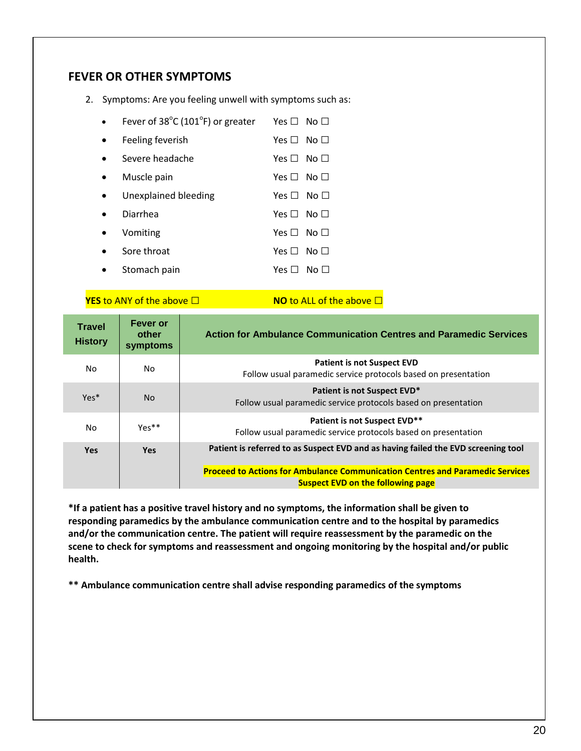#### **FEVER OR OTHER SYMPTOMS**

2. Symptoms: Are you feeling unwell with symptoms such as:

| Fever of 38°C (101°F) or greater | Yes $\Box$ | No $\Box$ |
|----------------------------------|------------|-----------|
| Feeling feverish                 | Yes $\Box$ | No $\Box$ |
| Severe headache                  | Yes $\Box$ | No $\Box$ |
| Muscle pain                      | Yes $\Box$ | $No \Box$ |
| Unexplained bleeding             | Yes $\Box$ | No $\Box$ |
| Diarrhea                         | Yes $\Box$ | No $\Box$ |
| Vomiting                         | Yes $\Box$ | No $\Box$ |
| Sore throat                      | Yes $\Box$ | No $\Box$ |
| Stomach pain                     | Yes F      | No.       |

**YES** to ANY of the above □ **NO** to ALL of the above □

| <b>Travel</b><br><b>History</b> | Fever or<br>other<br>symptoms | Action for Ambulance Communication Centres and Paramedic Services                                                                |  |
|---------------------------------|-------------------------------|----------------------------------------------------------------------------------------------------------------------------------|--|
| No.                             | No.                           | <b>Patient is not Suspect EVD</b><br>Follow usual paramedic service protocols based on presentation                              |  |
| Yes*                            | N <sub>o</sub>                | Patient is not Suspect EVD*<br>Follow usual paramedic service protocols based on presentation                                    |  |
| No.                             | $Yes**$                       | Patient is not Suspect EVD**<br>Follow usual paramedic service protocols based on presentation                                   |  |
| <b>Yes</b>                      | <b>Yes</b>                    | Patient is referred to as Suspect EVD and as having failed the EVD screening tool                                                |  |
|                                 |                               | <b>Proceed to Actions for Ambulance Communication Centres and Paramedic Services</b><br><b>Suspect EVD on the following page</b> |  |

**\*If a patient has a positive travel history and no symptoms, the information shall be given to responding paramedics by the ambulance communication centre and to the hospital by paramedics and/or the communication centre. The patient will require reassessment by the paramedic on the scene to check for symptoms and reassessment and ongoing monitoring by the hospital and/or public health.** 

**\*\* Ambulance communication centre shall advise responding paramedics of the symptoms**